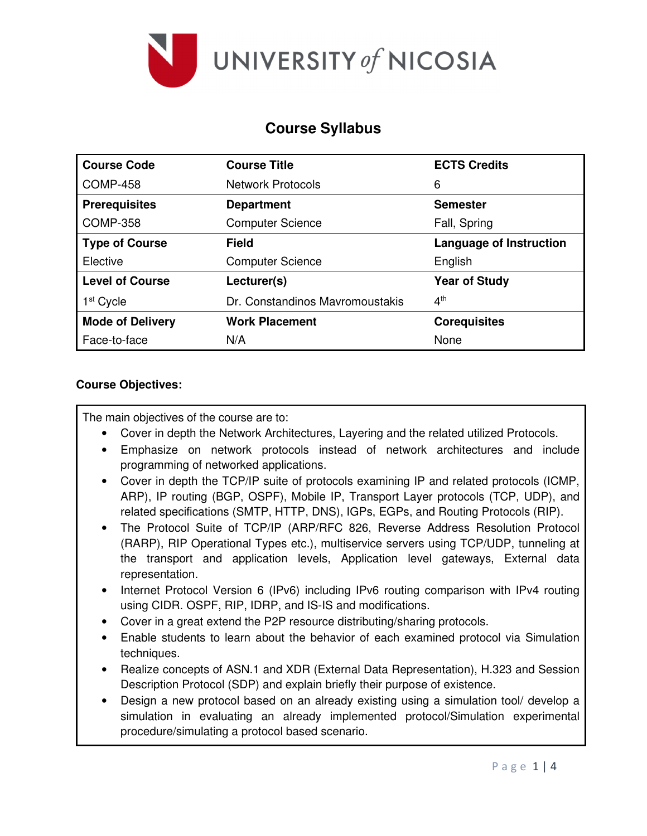

## **Course Syllabus**

| <b>Course Code</b>      | <b>Course Title</b>             | <b>ECTS Credits</b>            |
|-------------------------|---------------------------------|--------------------------------|
| <b>COMP-458</b>         | <b>Network Protocols</b>        | 6                              |
| <b>Prerequisites</b>    | <b>Department</b>               | <b>Semester</b>                |
| <b>COMP-358</b>         | <b>Computer Science</b>         | Fall, Spring                   |
| <b>Type of Course</b>   | Field                           | <b>Language of Instruction</b> |
| Elective                | <b>Computer Science</b>         | English                        |
| <b>Level of Course</b>  | Lecturer(s)                     | <b>Year of Study</b>           |
| 1 <sup>st</sup> Cycle   | Dr. Constandinos Mayromoustakis | $4^{\text{th}}$                |
| <b>Mode of Delivery</b> | <b>Work Placement</b>           | <b>Corequisites</b>            |
| Face-to-face            | N/A                             | None                           |

### **Course Objectives:**

The main objectives of the course are to:

- Cover in depth the Network Architectures, Layering and the related utilized Protocols.
- Emphasize on network protocols instead of network architectures and include programming of networked applications.
- Cover in depth the TCP/IP suite of protocols examining IP and related protocols (ICMP, ARP), IP routing (BGP, OSPF), Mobile IP, Transport Layer protocols (TCP, UDP), and related specifications (SMTP, HTTP, DNS), IGPs, EGPs, and Routing Protocols (RIP).
- The Protocol Suite of TCP/IP (ARP/RFC 826, Reverse Address Resolution Protocol (RARP), RIP Operational Types etc.), multiservice servers using TCP/UDP, tunneling at the transport and application levels, Application level gateways, External data representation.
- Internet Protocol Version 6 (IPv6) including IPv6 routing comparison with IPv4 routing using CIDR. OSPF, RIP, IDRP, and IS-IS and modifications.
- Cover in a great extend the P2P resource distributing/sharing protocols.
- Enable students to learn about the behavior of each examined protocol via Simulation techniques.
- Realize concepts of ASN.1 and XDR (External Data Representation), H.323 and Session Description Protocol (SDP) and explain briefly their purpose of existence.
- Design a new protocol based on an already existing using a simulation tool/ develop a simulation in evaluating an already implemented protocol/Simulation experimental procedure/simulating a protocol based scenario.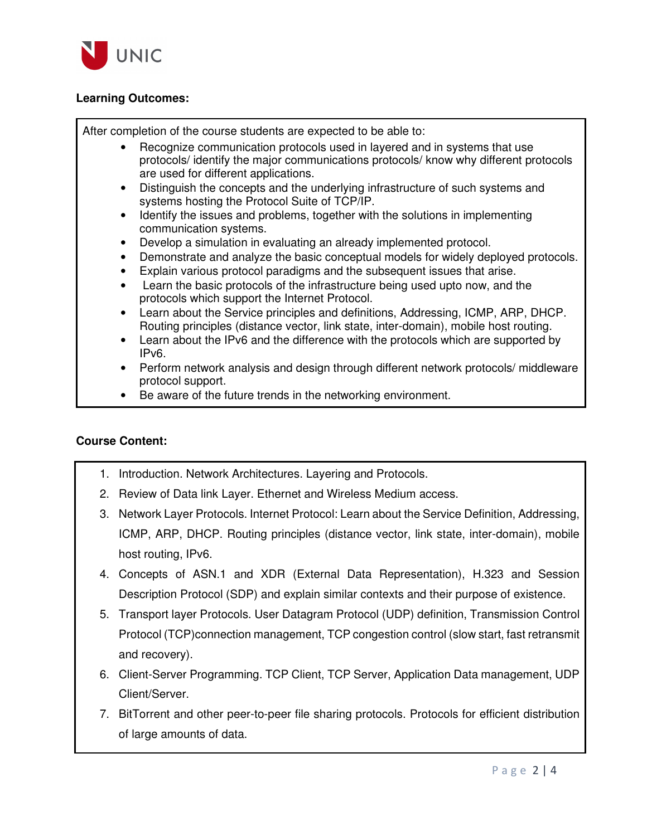

### **Learning Outcomes:**

After completion of the course students are expected to be able to:

- Recognize communication protocols used in layered and in systems that use protocols/ identify the major communications protocols/ know why different protocols are used for different applications.
- Distinguish the concepts and the underlying infrastructure of such systems and systems hosting the Protocol Suite of TCP/IP.
- Identify the issues and problems, together with the solutions in implementing communication systems.
- Develop a simulation in evaluating an already implemented protocol.
- Demonstrate and analyze the basic conceptual models for widely deployed protocols.
- Explain various protocol paradigms and the subsequent issues that arise.
- Learn the basic protocols of the infrastructure being used upto now, and the protocols which support the Internet Protocol.
- Learn about the Service principles and definitions, Addressing, ICMP, ARP, DHCP. Routing principles (distance vector, link state, inter-domain), mobile host routing.
- Learn about the IPv6 and the difference with the protocols which are supported by IPv6.
- Perform network analysis and design through different network protocols/ middleware protocol support.
- Be aware of the future trends in the networking environment.

#### **Course Content:**

- 1. Introduction. Network Architectures. Layering and Protocols.
- 2. Review of Data link Layer. Ethernet and Wireless Medium access.
- 3. Network Layer Protocols. Internet Protocol: Learn about the Service Definition, Addressing, ICMP, ARP, DHCP. Routing principles (distance vector, link state, inter-domain), mobile host routing, IPv6.
- 4. Concepts of ASN.1 and XDR (External Data Representation), H.323 and Session Description Protocol (SDP) and explain similar contexts and their purpose of existence.
- 5. Transport layer Protocols. User Datagram Protocol (UDP) definition, Transmission Control Protocol (TCP)connection management, TCP congestion control (slow start, fast retransmit and recovery).
- 6. Client-Server Programming. TCP Client, TCP Server, Application Data management, UDP Client/Server.
- 7. BitTorrent and other peer-to-peer file sharing protocols. Protocols for efficient distribution of large amounts of data.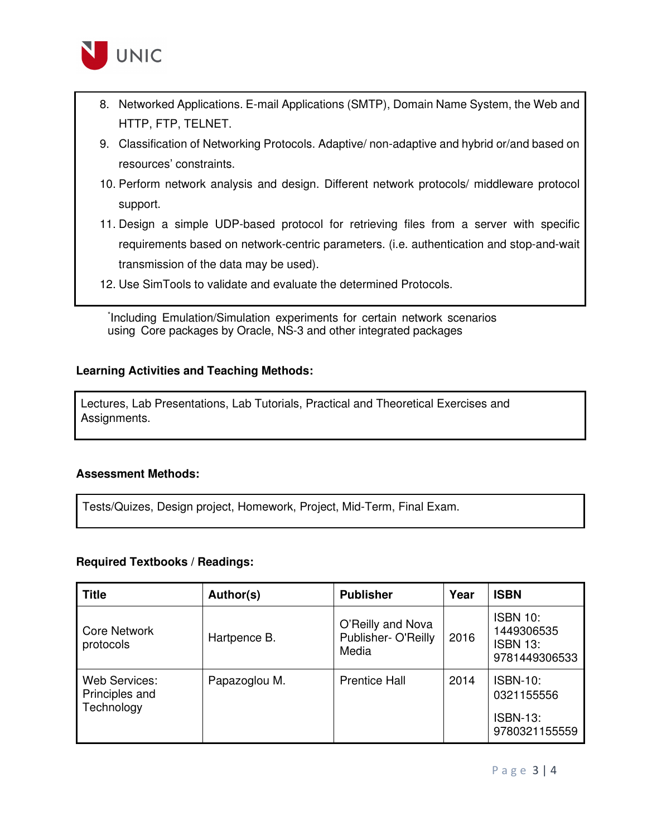

- 8. Networked Applications. E-mail Applications (SMTP), Domain Name System, the Web and HTTP, FTP, TELNET.
- 9. Classification of Networking Protocols. Adaptive/ non-adaptive and hybrid or/and based on resources' constraints.
- 10. Perform network analysis and design. Different network protocols/ middleware protocol support.
- 11. Design a simple UDP-based protocol for retrieving files from a server with specific requirements based on network-centric parameters. (i.e. authentication and stop-and-wait transmission of the data may be used).
- 12. Use SimTools to validate and evaluate the determined Protocols.

\* Including Emulation/Simulation experiments for certain network scenarios using Core packages by Oracle, NS-3 and other integrated packages

#### **Learning Activities and Teaching Methods:**

Lectures, Lab Presentations, Lab Tutorials, Practical and Theoretical Exercises and Assignments.

#### **Assessment Methods:**

Tests/Quizes, Design project, Homework, Project, Mid-Term, Final Exam.

#### **Required Textbooks / Readings:**

| <b>Title</b>                                  | Author(s)     | <b>Publisher</b>                                  | Year | <b>ISBN</b>                                                       |
|-----------------------------------------------|---------------|---------------------------------------------------|------|-------------------------------------------------------------------|
| Core Network<br>protocols                     | Hartpence B.  | O'Reilly and Nova<br>Publisher- O'Reilly<br>Media | 2016 | <b>ISBN 10:</b><br>1449306535<br><b>ISBN 13:</b><br>9781449306533 |
| Web Services:<br>Principles and<br>Technology | Papazoglou M. | <b>Prentice Hall</b>                              | 2014 | <b>ISBN-10:</b><br>0321155556<br><b>ISBN-13:</b><br>9780321155559 |